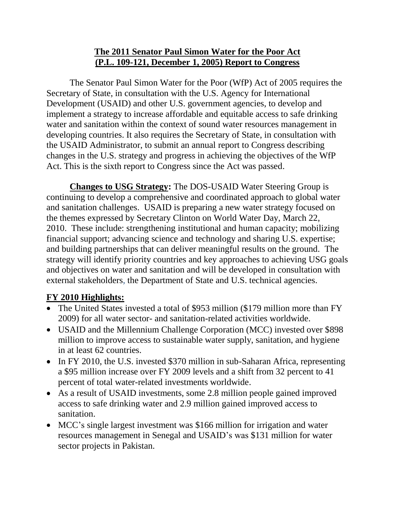## **The 2011 Senator Paul Simon Water for the Poor Act (P.L. 109-121, December 1, 2005) Report to Congress**

The Senator Paul Simon Water for the Poor (WfP) Act of 2005 requires the Secretary of State, in consultation with the U.S. Agency for International Development (USAID) and other U.S. government agencies, to develop and implement a strategy to increase affordable and equitable access to safe drinking water and sanitation within the context of sound water resources management in developing countries. It also requires the Secretary of State, in consultation with the USAID Administrator, to submit an annual report to Congress describing changes in the U.S. strategy and progress in achieving the objectives of the WfP Act. This is the sixth report to Congress since the Act was passed.

**Changes to USG Strategy:** The DOS-USAID Water Steering Group is continuing to develop a comprehensive and coordinated approach to global water and sanitation challenges. USAID is preparing a new water strategy focused on the themes expressed by Secretary Clinton on World Water Day, March 22, 2010. These include: strengthening institutional and human capacity; mobilizing financial support; advancing science and technology and sharing U.S. expertise; and building partnerships that can deliver meaningful results on the ground. The strategy will identify priority countries and key approaches to achieving USG goals and objectives on water and sanitation and will be developed in consultation with external stakeholders, the Department of State and U.S. technical agencies.

# **FY 2010 Highlights:**

- The United States invested a total of \$953 million (\$179 million more than FY 2009) for all water sector- and sanitation-related activities worldwide.
- USAID and the Millennium Challenge Corporation (MCC) invested over \$898 million to improve access to sustainable water supply, sanitation, and hygiene in at least 62 countries.
- In FY 2010, the U.S. invested \$370 million in sub-Saharan Africa, representing a \$95 million increase over FY 2009 levels and a shift from 32 percent to 41 percent of total water-related investments worldwide.
- As a result of USAID investments, some 2.8 million people gained improved access to safe drinking water and 2.9 million gained improved access to sanitation.
- MCC's single largest investment was \$166 million for irrigation and water resources management in Senegal and USAID's was \$131 million for water sector projects in Pakistan.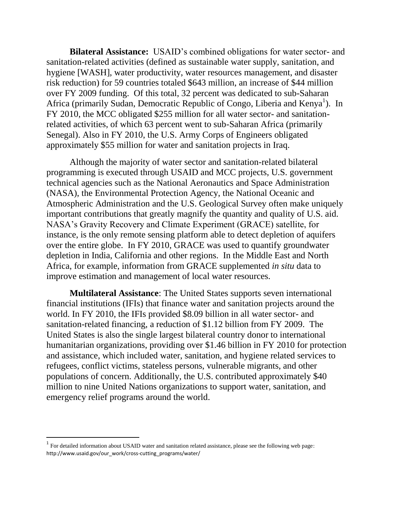**Bilateral Assistance:** USAID's combined obligations for water sector- and sanitation-related activities (defined as sustainable water supply, sanitation, and hygiene [WASH], water productivity, water resources management, and disaster risk reduction) for 59 countries totaled \$643 million, an increase of \$44 million over FY 2009 funding. Of this total, 32 percent was dedicated to sub-Saharan Africa (primarily Sudan, Democratic Republic of Congo, Liberia and Kenya<sup>1</sup>). In FY 2010, the MCC obligated \$255 million for all water sector- and sanitationrelated activities, of which 63 percent went to sub-Saharan Africa (primarily Senegal). Also in FY 2010, the U.S. Army Corps of Engineers obligated approximately \$55 million for water and sanitation projects in Iraq.

Although the majority of water sector and sanitation-related bilateral programming is executed through USAID and MCC projects, U.S. government technical agencies such as the National Aeronautics and Space Administration (NASA), the Environmental Protection Agency, the National Oceanic and Atmospheric Administration and the U.S. Geological Survey often make uniquely important contributions that greatly magnify the quantity and quality of U.S. aid. NASA's Gravity Recovery and Climate Experiment (GRACE) satellite, for instance, is the only remote sensing platform able to detect depletion of aquifers over the entire globe. In FY 2010, GRACE was used to quantify groundwater depletion in India, California and other regions. In the Middle East and North Africa, for example, information from GRACE supplemented *in situ* data to improve estimation and management of local water resources.

**Multilateral Assistance**: The United States supports seven international financial institutions (IFIs) that finance water and sanitation projects around the world. In FY 2010, the IFIs provided \$8.09 billion in all water sector- and sanitation-related financing, a reduction of \$1.12 billion from FY 2009. The United States is also the single largest bilateral country donor to international humanitarian organizations, providing over \$1.46 billion in FY 2010 for protection and assistance, which included water, sanitation, and hygiene related services to refugees, conflict victims, stateless persons, vulnerable migrants, and other populations of concern. Additionally, the U.S. contributed approximately \$40 million to nine United Nations organizations to support water, sanitation, and emergency relief programs around the world.

 $\overline{\phantom{a}}$ 

 $1$  For detailed information about USAID water and sanitation related assistance, please see the following web page: http://www.usaid.gov/our\_work/cross-cutting\_programs/water/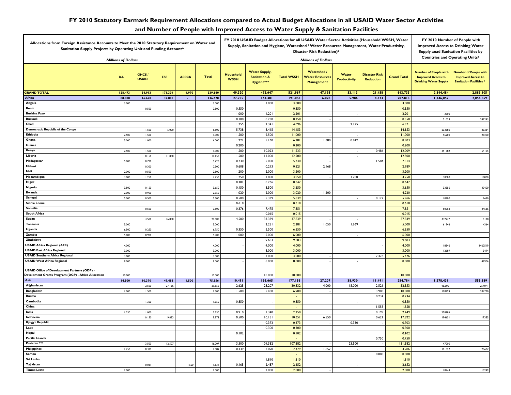#### **FY 2010 Statutory Earmark Requirement Allocations compared to Actual Budget Allocations in all USAID Water Sector Activities**

### **and Number of People with Improved Access to Water Supply & Sanitation Facilities**

| Allocations from Foreign Assistance Accounts to Meet the 2010 Statutory Requirement on Water and<br>Sanitation Supply Projects by Operating Unit and Funding Account* |                            |                       |            |              |         |                                 | FY 2010 USAID Budget Allocations for all USAID Water Sector Activities (Household WSSH, Water<br>Supply, Sanitation and Hygiene, Watershed / Water Resources Management, Water Productivity,<br><b>Disaster Risk Reduction)*</b> |                   |                                                                   |                              |                                          |                    |                                                                                           | FY 2010 Number of People with<br><b>Improved Access to Drinking Water</b><br>Supply anad Sanitation Facilities by<br><b>Countries and Operating Units*</b> |  |
|-----------------------------------------------------------------------------------------------------------------------------------------------------------------------|----------------------------|-----------------------|------------|--------------|---------|---------------------------------|----------------------------------------------------------------------------------------------------------------------------------------------------------------------------------------------------------------------------------|-------------------|-------------------------------------------------------------------|------------------------------|------------------------------------------|--------------------|-------------------------------------------------------------------------------------------|------------------------------------------------------------------------------------------------------------------------------------------------------------|--|
|                                                                                                                                                                       | <b>Millions of Dollars</b> |                       |            |              |         |                                 | <b>Millions of Dollars</b>                                                                                                                                                                                                       |                   |                                                                   |                              |                                          |                    |                                                                                           |                                                                                                                                                            |  |
|                                                                                                                                                                       | DA                         | GHCS/<br><b>USAID</b> | <b>ESF</b> | <b>AEECA</b> | Total   | <b>Household</b><br><b>WSSH</b> | <b>Water Supply,</b><br><b>Sanitation &amp;</b><br>Hygiene***                                                                                                                                                                    | <b>Total WSSH</b> | <b>Watershed /</b><br><b>Water Resources</b><br><b>Management</b> | Water<br><b>Productivity</b> | <b>Disaster Risk</b><br><b>Reduction</b> | <b>Grand Total</b> | <b>Number of People with</b><br><b>Improved Access to</b><br><b>Drinking Water Supply</b> | <b>Number of People with</b><br><b>Improved Access to</b><br><b>Sanitation Facilities</b>                                                                  |  |
| <b>GRAND TOTAL</b>                                                                                                                                                    | 128.473                    | 34.913                | 171.304    | 4.970        | 339.660 | 49.320                          | 472.647                                                                                                                                                                                                                          | 521.967           | 47.195                                                            | 53.113                       | 21.458                                   | 643.733            | 2,844,484                                                                                 | 2,889,105                                                                                                                                                  |  |
| <b>Africa</b>                                                                                                                                                         | 88.000                     | 16.670                | 32.000     | $\omega$     | 136.670 | 27.755                          | 163.301                                                                                                                                                                                                                          | 191.056           | 6.098                                                             | 5.986                        | 4.673                                    | 207.813            | 1,346,057                                                                                 | 2,054,859                                                                                                                                                  |  |
| Angola                                                                                                                                                                | 3.000                      |                       |            |              | 3.000   |                                 | 3.000                                                                                                                                                                                                                            | 3.000             |                                                                   |                              |                                          | 3.000              |                                                                                           |                                                                                                                                                            |  |
| <b>Benin</b>                                                                                                                                                          |                            | 0.500                 |            |              | 0.500   | 0.550                           |                                                                                                                                                                                                                                  | 0.550             |                                                                   |                              |                                          | 0.550              |                                                                                           |                                                                                                                                                            |  |
| <b>Burkina Faso</b>                                                                                                                                                   |                            |                       |            |              |         | 1.000                           | 1.201                                                                                                                                                                                                                            | 2.201             |                                                                   |                              |                                          | 2.201              | 3900                                                                                      |                                                                                                                                                            |  |
| <b>Burundi</b>                                                                                                                                                        |                            |                       |            |              |         | 0.108                           | 0.250                                                                                                                                                                                                                            | 0.358             |                                                                   |                              |                                          | 0.358              | 51023                                                                                     | 242243                                                                                                                                                     |  |
| Chad                                                                                                                                                                  |                            |                       |            |              |         | 1.755                           | 2.341                                                                                                                                                                                                                            | 4.096             |                                                                   | 2.275                        |                                          | 6.371              |                                                                                           |                                                                                                                                                            |  |
| Democratic Republic of the Congo                                                                                                                                      |                            | 1.500                 | 5.000      |              | 6.500   | 5.738                           | 8.415                                                                                                                                                                                                                            | 14.153            |                                                                   |                              |                                          | 14.153             | 233580                                                                                    | 123284                                                                                                                                                     |  |
| Ethiopia                                                                                                                                                              | 7.500                      | 1.500                 |            |              | 9.000   | 1.500                           | 9.500                                                                                                                                                                                                                            | 11.000            |                                                                   |                              |                                          | 11.000             | 56200                                                                                     | 28200                                                                                                                                                      |  |
| Ghana                                                                                                                                                                 | 5.000                      | 1.000                 |            |              | 6.000   | 1.221                           | 5.160                                                                                                                                                                                                                            | 6.381             | 1.680                                                             | 0.842                        |                                          | 8.903              |                                                                                           |                                                                                                                                                            |  |
| Guinea                                                                                                                                                                |                            |                       |            |              |         | 0.200                           |                                                                                                                                                                                                                                  | 0.200             |                                                                   |                              |                                          | 0.200              |                                                                                           |                                                                                                                                                            |  |
| Kenya                                                                                                                                                                 | 7.500                      | 1.500                 |            |              | 9.000   | 1.500                           | 10.023                                                                                                                                                                                                                           | 11.523            |                                                                   |                              | 0.486                                    | 12.009             | 351782                                                                                    | 64105                                                                                                                                                      |  |
| Liberia                                                                                                                                                               |                            | 0.150                 | 11.000     |              | 11.150  | 1.500                           | 11.000                                                                                                                                                                                                                           | 12.500            |                                                                   |                              |                                          | 12.500             |                                                                                           |                                                                                                                                                            |  |
| Madagascar                                                                                                                                                            | 5.000                      | 0.720                 |            |              | 5.720   | 0.730                           | 5.000                                                                                                                                                                                                                            | 5.730             |                                                                   |                              | 1.584                                    | 7.314              |                                                                                           |                                                                                                                                                            |  |
| Malawi                                                                                                                                                                |                            | 0.300                 |            |              | 0.300   | 0.608                           | 0.213                                                                                                                                                                                                                            | 0.821             | 2.168                                                             |                              |                                          | 2.989              |                                                                                           |                                                                                                                                                            |  |
| Mali                                                                                                                                                                  | 2.000                      | 0.500                 |            |              | 2.500   | 1.200                           | 2.000                                                                                                                                                                                                                            | 3.200             |                                                                   |                              |                                          | 3.200              |                                                                                           |                                                                                                                                                            |  |
| Mozambique                                                                                                                                                            | 3.000                      | 1.250                 |            |              | 4.250   | 1.250                           | 1.800                                                                                                                                                                                                                            | 3.050             |                                                                   | 1.200                        |                                          | 4.250              | 30000                                                                                     | 18000                                                                                                                                                      |  |
| Niger                                                                                                                                                                 |                            |                       |            |              |         | 0.381                           | 0.266                                                                                                                                                                                                                            | 0.647             |                                                                   |                              |                                          | 0.647              |                                                                                           |                                                                                                                                                            |  |
| Nigeria                                                                                                                                                               | 3.500                      | 0.150                 |            |              | 3.650   | 0.150                           | 3.500                                                                                                                                                                                                                            | 3.650             |                                                                   |                              |                                          | 3.650              | 33550                                                                                     | 30400                                                                                                                                                      |  |
| Rwanda                                                                                                                                                                | 2.000                      | 0.950                 |            |              | 2.950   | 1.020                           | 2.000                                                                                                                                                                                                                            | 3.020             | 1.200                                                             |                              |                                          | 4.220              |                                                                                           |                                                                                                                                                            |  |
| Senegal                                                                                                                                                               | 5.000                      | 0.500                 |            |              | 5.500   | 0.500                           | 5.339                                                                                                                                                                                                                            | 5.839             |                                                                   |                              | 0.127                                    | 5.966              | 10200                                                                                     | 2680                                                                                                                                                       |  |
| Sierra Leone                                                                                                                                                          |                            |                       |            |              |         | 0.618                           |                                                                                                                                                                                                                                  | 0.618             |                                                                   |                              |                                          | 0.618              |                                                                                           |                                                                                                                                                            |  |
| <b>Somalia</b>                                                                                                                                                        |                            | 0.500                 |            |              | 0.500   | 0.376                           | 7.475                                                                                                                                                                                                                            | 7.851             |                                                                   |                              |                                          | 7.851              | 50068                                                                                     | 24536                                                                                                                                                      |  |
| South Africa                                                                                                                                                          |                            |                       |            |              |         |                                 | 0.015                                                                                                                                                                                                                            | 0.015             |                                                                   |                              |                                          | 0.015              |                                                                                           |                                                                                                                                                            |  |
| Sudan                                                                                                                                                                 |                            | 4.500                 | 16,000     |              | 20,500  | 4.500                           | 33.339                                                                                                                                                                                                                           | 37.839            |                                                                   |                              |                                          | 37.839             | 432277                                                                                    | 4128                                                                                                                                                       |  |
| Tanzania                                                                                                                                                              | 5.000                      |                       |            |              | 5.000   |                                 | 2.281                                                                                                                                                                                                                            | 2.281             | 1.050                                                             | 1.669                        |                                          | 5.000              | 61942                                                                                     | 4364                                                                                                                                                       |  |
| Uganda                                                                                                                                                                | 6.500                      | 0.250                 |            |              | 6.750   | 0.350                           | 6.500                                                                                                                                                                                                                            | 6.850             |                                                                   |                              |                                          | 6.850              |                                                                                           |                                                                                                                                                            |  |
| Zambia                                                                                                                                                                | 5.000                      | 0.900                 |            |              | 5.900   | 1.000                           | 5.000                                                                                                                                                                                                                            | 6,000             |                                                                   |                              |                                          | 6.000              |                                                                                           |                                                                                                                                                            |  |
| Zimbabwe                                                                                                                                                              |                            |                       |            |              |         |                                 | 9.683                                                                                                                                                                                                                            | 9.683             |                                                                   |                              |                                          | 9.683              |                                                                                           |                                                                                                                                                            |  |
| <b>USAID Africa Regional (AFR)</b>                                                                                                                                    | 4.000                      |                       |            |              | 4.000   |                                 | 4.000                                                                                                                                                                                                                            | 4.000             |                                                                   |                              |                                          | 4.000              | 18846                                                                                     | 1460519                                                                                                                                                    |  |
| <b>USAID East Africa Regional</b>                                                                                                                                     | 3.000                      |                       |            |              | 3.000   |                                 | 3.000                                                                                                                                                                                                                            | 3.000             |                                                                   |                              |                                          | 3.000              | 12689                                                                                     | 3494                                                                                                                                                       |  |
| <b>USAID Southern Africa Regional</b>                                                                                                                                 | 3.000                      |                       |            |              | 3.000   |                                 | 3.000                                                                                                                                                                                                                            | 3.000             |                                                                   |                              | 2.476                                    | 5.476              |                                                                                           |                                                                                                                                                            |  |
| <b>USAID West Africa Regional</b>                                                                                                                                     | 8.000                      |                       |            |              | 8.000   |                                 | 8.000                                                                                                                                                                                                                            | 8.000             |                                                                   |                              |                                          | 8.000              |                                                                                           | 48906                                                                                                                                                      |  |
| <b>USAID Office of Development Partners (ODP) -</b><br>Develoment Grants Program (DGP) - Africa Allocation                                                            | 10.000                     |                       |            |              | 10.000  |                                 | 10.000                                                                                                                                                                                                                           | 10.000            |                                                                   |                              |                                          | 10.000             |                                                                                           |                                                                                                                                                            |  |
| Asia                                                                                                                                                                  | 14.500                     | 10.370                | 49.486     | 1.500        | 75.856  | 10.491                          | 166.665                                                                                                                                                                                                                          | 177.156           | 27.207                                                            | 38.930                       | 11.491                                   | 254.784            | 1,278,431                                                                                 | 555,389                                                                                                                                                    |  |
| Afghanistan                                                                                                                                                           |                            | 2.500                 | 27.156     |              | 29.65   | 2.625                           | 28.207                                                                                                                                                                                                                           | 30.832            | 4.000                                                             | 15.000                       | 2.521                                    | 52.353             | 48,300                                                                                    | 25,074                                                                                                                                                     |  |
| <b>Bangladesh</b>                                                                                                                                                     | 1.000                      | 1.500                 |            |              | 2.500   | 1.500                           | 5.400                                                                                                                                                                                                                            | 6.900             |                                                                   |                              | 3.900                                    | 10.800             | 198299                                                                                    | 284770                                                                                                                                                     |  |
| <b>Burma</b>                                                                                                                                                          |                            |                       |            |              |         |                                 |                                                                                                                                                                                                                                  | ÷                 |                                                                   |                              | 0.234                                    | 0.234              |                                                                                           |                                                                                                                                                            |  |
| Cambodia                                                                                                                                                              |                            | 1.350                 |            |              | 1.350   | 0.850                           |                                                                                                                                                                                                                                  | 0.850             |                                                                   |                              |                                          | 0.850              |                                                                                           |                                                                                                                                                            |  |
| China                                                                                                                                                                 |                            |                       |            |              |         |                                 |                                                                                                                                                                                                                                  |                   |                                                                   |                              | 1.558                                    | 1.558              |                                                                                           |                                                                                                                                                            |  |
| India                                                                                                                                                                 | 1.250                      | 1.000                 |            |              | 2.250   | 0.910                           | 1.340                                                                                                                                                                                                                            | 2.250             |                                                                   |                              | 0.199                                    | 2.449              | 258786                                                                                    |                                                                                                                                                            |  |
| Indonesia                                                                                                                                                             |                            | 0.150                 | 9.823      |              | 9.973   | 0.500                           | 10.151                                                                                                                                                                                                                           | 10.651            | 6.550                                                             |                              | 0.621                                    | 17.822             | 19465                                                                                     | 17355                                                                                                                                                      |  |
| <b>Kyrgyz Republic</b>                                                                                                                                                |                            |                       |            |              |         |                                 | 0.373                                                                                                                                                                                                                            | 0.373             |                                                                   | 0.330                        |                                          | 0.703              |                                                                                           |                                                                                                                                                            |  |
| Laos                                                                                                                                                                  |                            |                       |            |              |         |                                 | 0.300                                                                                                                                                                                                                            | 0.300             |                                                                   |                              |                                          | 0.300              |                                                                                           |                                                                                                                                                            |  |
| Nepal                                                                                                                                                                 |                            |                       |            |              |         | 0.102                           |                                                                                                                                                                                                                                  | 0.102             |                                                                   |                              |                                          | 0.102              |                                                                                           |                                                                                                                                                            |  |
| Pacific Islands                                                                                                                                                       |                            |                       |            |              |         |                                 |                                                                                                                                                                                                                                  |                   |                                                                   |                              | 0.750                                    | 0.750              |                                                                                           |                                                                                                                                                            |  |
| Pakistan ***                                                                                                                                                          |                            | 3.500                 | 12.507     |              | 16.007  | 3.500                           | 104.382                                                                                                                                                                                                                          | 107.882           |                                                                   | 23.500                       |                                          | 131.382            | 47000                                                                                     |                                                                                                                                                            |  |
| <b>Philippines</b>                                                                                                                                                    | 1.250                      | 0.339                 |            |              | 1.589   | 0.339                           | 2.090                                                                                                                                                                                                                            | 2.429             | 1.857                                                             |                              |                                          | 4.286              | 181022                                                                                    | 120607                                                                                                                                                     |  |
| Samoa                                                                                                                                                                 |                            |                       |            |              |         |                                 |                                                                                                                                                                                                                                  |                   |                                                                   |                              | 0.008                                    | 0.008              |                                                                                           |                                                                                                                                                            |  |
| Sri Lanka                                                                                                                                                             |                            |                       |            |              |         |                                 | 1.810                                                                                                                                                                                                                            | 1.810             |                                                                   |                              |                                          | 1.810              |                                                                                           |                                                                                                                                                            |  |
| Tajikistan                                                                                                                                                            |                            | 0.031                 |            | 1.500        | 1.531   | 0.165                           | 2.487                                                                                                                                                                                                                            | 2.652             |                                                                   |                              |                                          | 2.652              |                                                                                           |                                                                                                                                                            |  |
| <b>Timor-Leste</b>                                                                                                                                                    | 2.000                      |                       |            |              | 2.000   |                                 | 2.000                                                                                                                                                                                                                            | 2.000             |                                                                   |                              |                                          | 2.000              | 18943                                                                                     | 10249                                                                                                                                                      |  |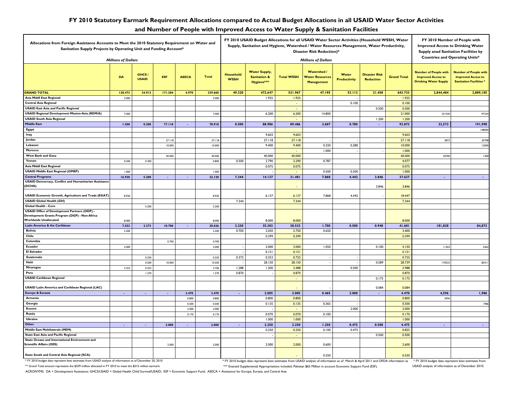#### **FY 2010 Statutory Earmark Requirement Allocations compared to Actual Budget Allocations in all USAID Water Sector Activities**

#### **and Number of People with Improved Access to Water Supply & Sanitation Facilities**

| Allocations from Foreign Assistance Accounts to Meet the 2010 Statutory Requirement on Water and<br>Sanitation Supply Projects by Operating Unit and Funding Account* |                            |                       |               |                             |              | FY 2010 USAID Budget Allocations for all USAID Water Sector Activities (Household WSSH, Water<br>Supply, Sanitation and Hygiene, Watershed / Water Resources Management, Water Productivity,<br><b>Disaster Risk Reduction)*</b> |                                                               |                          |                                                                |                              |                                          |                    | FY 2010 Number of People with<br><b>Improved Access to Drinking Water</b><br>Supply anad Sanitation Facilities by<br><b>Countries and Operating Units*</b> |                                                                                             |
|-----------------------------------------------------------------------------------------------------------------------------------------------------------------------|----------------------------|-----------------------|---------------|-----------------------------|--------------|----------------------------------------------------------------------------------------------------------------------------------------------------------------------------------------------------------------------------------|---------------------------------------------------------------|--------------------------|----------------------------------------------------------------|------------------------------|------------------------------------------|--------------------|------------------------------------------------------------------------------------------------------------------------------------------------------------|---------------------------------------------------------------------------------------------|
|                                                                                                                                                                       | <b>Millions of Dollars</b> |                       |               |                             |              |                                                                                                                                                                                                                                  | <b>Millions of Dollars</b>                                    |                          |                                                                |                              |                                          |                    |                                                                                                                                                            |                                                                                             |
|                                                                                                                                                                       | DA                         | GHCS/<br><b>USAID</b> | <b>ESF</b>    | <b>AEECA</b>                | <b>Total</b> | Household<br><b>WSSH</b>                                                                                                                                                                                                         | <b>Water Supply,</b><br><b>Sanitation &amp;</b><br>Hygiene*** | <b>Total WSSH</b>        | <b>Watershed</b><br><b>Water Resource</b><br><b>Management</b> | Water<br><b>Productivity</b> | <b>Disaster Risk</b><br><b>Reduction</b> | <b>Grand Total</b> | <b>Number of People with</b><br><b>Improved Access to</b><br><b>Drinking Water Supply</b>                                                                  | <b>Number of People with</b><br><b>Improved Access to</b><br><b>Sanitation Facilities *</b> |
| <b>GRAND TOTAL</b>                                                                                                                                                    | 128.473                    | 34.913                | 171.304       | 4.970                       | 339.660      | 49.320                                                                                                                                                                                                                           | 472.647                                                       | 521.967                  | 47.195                                                         | 53.113                       | 21.458                                   | 643.733            | 2,844,484                                                                                                                                                  | 2,889,105                                                                                   |
| <b>Asia Middl East Regional</b>                                                                                                                                       | 2.000                      |                       |               |                             | 2.000        |                                                                                                                                                                                                                                  | 1.925                                                         | 1.925                    |                                                                |                              |                                          | 1.925              |                                                                                                                                                            |                                                                                             |
| <b>Central Asia Regional</b>                                                                                                                                          |                            |                       |               |                             |              |                                                                                                                                                                                                                                  |                                                               | $\overline{\phantom{a}}$ |                                                                | 0.100                        |                                          | 0.100              |                                                                                                                                                            |                                                                                             |
| <b>USAID East Asia and Pacific Regional</b>                                                                                                                           |                            |                       |               |                             |              |                                                                                                                                                                                                                                  |                                                               | ÷,                       |                                                                |                              | 0.500                                    | 0.500              |                                                                                                                                                            |                                                                                             |
| <b>USAID Regional Development Mission-Asia (RDM/A)</b>                                                                                                                | 7.000                      |                       |               |                             | 7.000        |                                                                                                                                                                                                                                  | 6.200                                                         | 6.200                    | 14.800                                                         |                              |                                          | 21.000             | 331430                                                                                                                                                     | 97334                                                                                       |
| <b>USAID South Asia Regional</b>                                                                                                                                      |                            |                       |               |                             |              |                                                                                                                                                                                                                                  |                                                               |                          |                                                                |                              | 1.200                                    | 1.200              |                                                                                                                                                            |                                                                                             |
| <b>Middle East</b>                                                                                                                                                    | 1.500                      | 0.300                 | 77.118        | ä,                          | 78.918       | 0.500                                                                                                                                                                                                                            | 88.986                                                        | 89.486                   | 2.607                                                          | 0.780                        | ÷.                                       | 92.873             | 33,572                                                                                                                                                     | 191,998                                                                                     |
| Egypt                                                                                                                                                                 |                            |                       |               |                             |              |                                                                                                                                                                                                                                  |                                                               |                          |                                                                |                              |                                          |                    |                                                                                                                                                            | 148000                                                                                      |
| Iraq                                                                                                                                                                  |                            |                       |               |                             |              |                                                                                                                                                                                                                                  | 9.603                                                         | 9.603                    |                                                                |                              |                                          | 9.603              |                                                                                                                                                            |                                                                                             |
| Jordan                                                                                                                                                                |                            |                       | 27.118        |                             | 27.118       |                                                                                                                                                                                                                                  | 27.118                                                        | 27.118                   |                                                                |                              |                                          | 27.118             | 2872                                                                                                                                                       | 30798                                                                                       |
| Lebanon                                                                                                                                                               |                            |                       | 10,000        |                             | 10.000       |                                                                                                                                                                                                                                  | 9.400                                                         | 9.400                    | 0.320                                                          | 0.280                        |                                          | 10.000             |                                                                                                                                                            | 12000                                                                                       |
| Morocco                                                                                                                                                               |                            |                       |               |                             |              |                                                                                                                                                                                                                                  |                                                               |                          | 1.000                                                          |                              |                                          | 1.000              |                                                                                                                                                            |                                                                                             |
| <b>West Bank and Gaza</b>                                                                                                                                             |                            |                       | 40.000        |                             | 40.000       |                                                                                                                                                                                                                                  | 40.000                                                        | 40.000                   |                                                                |                              |                                          | 40.000             | 30700                                                                                                                                                      | 1200                                                                                        |
| Yemen                                                                                                                                                                 | 0.500                      | 0.300                 |               |                             | 0.800        | 0.500                                                                                                                                                                                                                            | 2.790                                                         | 3.290                    | 0.787                                                          |                              |                                          | 4.077              |                                                                                                                                                            |                                                                                             |
| <b>Asia Middl East Regional</b>                                                                                                                                       |                            |                       |               |                             |              |                                                                                                                                                                                                                                  | 0.075                                                         | 0.075                    |                                                                |                              |                                          | 0.075              |                                                                                                                                                            |                                                                                             |
| <b>USAID Middle East Regional (OMEP)</b>                                                                                                                              | 1.000                      |                       |               |                             | 1.000        |                                                                                                                                                                                                                                  |                                                               |                          | 0.500                                                          | 0.500                        |                                          | 1.000              |                                                                                                                                                            |                                                                                             |
| <b>Central Programs</b>                                                                                                                                               | 16.920                     | 5.200                 | $\mathcal{L}$ | $\mathcal{L}_{\mathcal{A}}$ | 22.120       | 7.344                                                                                                                                                                                                                            | 14.137                                                        | 21.481                   | 7.868                                                          | 4.442                        | 3.846                                    | 37.637             | $\sim$                                                                                                                                                     | $\sim$                                                                                      |
| <b>USAID Democracy, Conflict and Humanitarian Assistance</b>                                                                                                          |                            |                       |               |                             |              |                                                                                                                                                                                                                                  |                                                               |                          |                                                                |                              |                                          |                    |                                                                                                                                                            |                                                                                             |
| (DCHA)                                                                                                                                                                |                            |                       |               |                             |              |                                                                                                                                                                                                                                  |                                                               |                          |                                                                |                              | 3.846                                    | 3.846              |                                                                                                                                                            |                                                                                             |
|                                                                                                                                                                       |                            |                       |               |                             |              |                                                                                                                                                                                                                                  |                                                               |                          |                                                                |                              |                                          |                    |                                                                                                                                                            |                                                                                             |
| <b>USAID Economic Growth, Agriculture and Trade (EGAT)</b>                                                                                                            | 8.920                      |                       |               |                             | 8.920        |                                                                                                                                                                                                                                  | 6.137                                                         | 6.137                    | 7.868                                                          | 4.442                        |                                          | 18.447             |                                                                                                                                                            |                                                                                             |
| <b>USAID Global Health (GH)</b>                                                                                                                                       |                            |                       |               |                             |              | 7.344                                                                                                                                                                                                                            |                                                               | 7.344                    |                                                                |                              |                                          | 7.344              |                                                                                                                                                            |                                                                                             |
| Global Health - Core                                                                                                                                                  |                            | 5.200                 |               |                             | 5.200        |                                                                                                                                                                                                                                  |                                                               |                          |                                                                |                              |                                          |                    |                                                                                                                                                            |                                                                                             |
| <b>USAID Office of Development Partners (ODP) -</b>                                                                                                                   |                            |                       |               |                             |              |                                                                                                                                                                                                                                  |                                                               |                          |                                                                |                              |                                          |                    |                                                                                                                                                            |                                                                                             |
| Development Grants Program (DGP) - Non-Africa                                                                                                                         |                            |                       |               |                             |              |                                                                                                                                                                                                                                  |                                                               |                          |                                                                |                              |                                          |                    |                                                                                                                                                            |                                                                                             |
| <b>Worldwide Unallocated</b>                                                                                                                                          | 8.000                      |                       |               |                             | 8.000        |                                                                                                                                                                                                                                  | 8.000                                                         | 8.000                    |                                                                |                              |                                          | 8.000              |                                                                                                                                                            |                                                                                             |
| Latin America & the Caribbean                                                                                                                                         | 7.553                      | 2.373                 | 10.700        | ä,                          | 20.626       | 3.230                                                                                                                                                                                                                            | 35.303                                                        | 38.533                   | 1.700                                                          | 0.500                        | 0.948                                    | 41.681             | 181,828                                                                                                                                                    | 84,873                                                                                      |
| <b>Bolivia</b>                                                                                                                                                        | 2.200                      |                       |               |                             | 2.200        | 0.700                                                                                                                                                                                                                            | 2.050                                                         | 2.750                    | 0.650                                                          |                              |                                          | 3.400              |                                                                                                                                                            |                                                                                             |
| Chile                                                                                                                                                                 |                            |                       |               |                             |              |                                                                                                                                                                                                                                  | 0.399                                                         | 0.399                    |                                                                |                              |                                          | 0.399              |                                                                                                                                                            |                                                                                             |
| Colombia                                                                                                                                                              |                            |                       | 0.700         |                             | 0.700        |                                                                                                                                                                                                                                  |                                                               |                          |                                                                |                              |                                          |                    |                                                                                                                                                            |                                                                                             |
| Ecuador                                                                                                                                                               | 3.000                      |                       |               |                             | 3.000        |                                                                                                                                                                                                                                  | 3.000                                                         | 3.000                    | 1.050                                                          |                              | 0.100                                    | 4.150              | 11303                                                                                                                                                      | 2462                                                                                        |
| <b>El Salvador</b>                                                                                                                                                    |                            |                       |               |                             |              |                                                                                                                                                                                                                                  | 0.151                                                         | 0.151                    |                                                                |                              |                                          | 0.151              |                                                                                                                                                            |                                                                                             |
| Guatemala                                                                                                                                                             |                            | 0.250                 |               |                             | 0.250        | 0.372                                                                                                                                                                                                                            | 0.353                                                         | 0.725                    |                                                                |                              |                                          | 0.725              |                                                                                                                                                            |                                                                                             |
| Haiti                                                                                                                                                                 |                            | 0.500                 | 10.000        |                             | 10.500       |                                                                                                                                                                                                                                  | 28.150                                                        | 28.150                   |                                                                |                              | 0.589                                    | 28.739             | 170525                                                                                                                                                     | 82411                                                                                       |
| Nicaragua                                                                                                                                                             | 2.353                      | 0.353                 |               |                             | 2.706        | 1.288                                                                                                                                                                                                                            | 1.200                                                         | 2.488                    |                                                                | 0.500                        |                                          | 2.988              |                                                                                                                                                            |                                                                                             |
| Peru                                                                                                                                                                  |                            | 1.270                 |               |                             | 1.270        | 0.870                                                                                                                                                                                                                            |                                                               | 0.870                    |                                                                |                              |                                          | 0.870              |                                                                                                                                                            |                                                                                             |
| <b>USAID Caribbean Regional</b>                                                                                                                                       |                            |                       |               |                             |              |                                                                                                                                                                                                                                  |                                                               | $\overline{\phantom{a}}$ |                                                                |                              | 0.175                                    | 0.175              |                                                                                                                                                            |                                                                                             |
| <b>USAID Latin America and Caribbean Regional (LAC)</b>                                                                                                               |                            |                       |               |                             |              |                                                                                                                                                                                                                                  |                                                               |                          |                                                                |                              | 0.084                                    | 0.084              |                                                                                                                                                            |                                                                                             |
| Europe & Eurasia                                                                                                                                                      | $\sim$                     | $\sim$                | $\bullet$     | 3.470                       | 3.470        | $\bullet$                                                                                                                                                                                                                        | 2.005                                                         | 2.005                    | 0.465                                                          | 2.000                        | $\sim$                                   | 4.470              | 4,596                                                                                                                                                      | 1,986                                                                                       |
| Armenia                                                                                                                                                               |                            |                       |               | 0.800                       | 0.800        |                                                                                                                                                                                                                                  | 0.800                                                         | 0.800                    |                                                                |                              |                                          | 0.800              | 4596                                                                                                                                                       |                                                                                             |
| Georgia                                                                                                                                                               |                            |                       |               | 0.500                       | 0.500        |                                                                                                                                                                                                                                  | 0.135                                                         | 0.135                    | 0.365                                                          |                              |                                          | 0.500              |                                                                                                                                                            | 1986                                                                                        |
| Kosovo                                                                                                                                                                |                            |                       |               | 2.000                       | 2.000        |                                                                                                                                                                                                                                  |                                                               |                          |                                                                | 2.000                        |                                          | 2.000              |                                                                                                                                                            |                                                                                             |
| Russia                                                                                                                                                                |                            |                       |               | 0.170                       | 0.170        |                                                                                                                                                                                                                                  | 0.070                                                         | 0.070                    | 0.100                                                          |                              |                                          | 0.170              |                                                                                                                                                            |                                                                                             |
| <b>Ukraine</b>                                                                                                                                                        |                            |                       |               |                             |              |                                                                                                                                                                                                                                  | 1.000                                                         | 1.000                    |                                                                |                              |                                          | 1.000              |                                                                                                                                                            |                                                                                             |
| Other                                                                                                                                                                 | $\sim$                     | $\blacksquare$        | 2.000         | ä,                          | 2.000        | $\sim$                                                                                                                                                                                                                           | 2.250                                                         | 2.250                    | 1.250                                                          | 0.475                        | 0.500                                    | 4.475              | $\sim$                                                                                                                                                     | $\sim$                                                                                      |
| Middle East Multilaterals (MEM)                                                                                                                                       |                            |                       |               |                             |              |                                                                                                                                                                                                                                  | 0.250                                                         | 0.250                    | 0.100                                                          | 0.475                        |                                          | 0.825              |                                                                                                                                                            |                                                                                             |
| <b>State East Asia and Pacific Regional</b>                                                                                                                           |                            |                       |               |                             |              |                                                                                                                                                                                                                                  |                                                               | ÷,                       |                                                                |                              | 0.500                                    | 0.500              |                                                                                                                                                            |                                                                                             |
| State Oceans and International Environment and<br><b>Scientific Affairs (OES)</b>                                                                                     |                            |                       |               |                             |              |                                                                                                                                                                                                                                  |                                                               |                          |                                                                |                              |                                          |                    |                                                                                                                                                            |                                                                                             |
|                                                                                                                                                                       |                            |                       | 2.000         |                             | 2.000        |                                                                                                                                                                                                                                  | 2.000                                                         | 2.000                    | 0.600                                                          |                              |                                          | 2.600              |                                                                                                                                                            |                                                                                             |
| State South and Central Asia Regional (SCA)                                                                                                                           |                            |                       |               |                             |              |                                                                                                                                                                                                                                  |                                                               |                          | 0.550                                                          |                              |                                          | 0.550              |                                                                                                                                                            |                                                                                             |

\* FY 2010 budget data represent best estimates from USAID analysis of information as of December 20, 2010 \* FY 2010 budget data represent best estimates from USAID analysis of information as of March & April 2011 and OFDA

USAID analysis of information as of December 2010.

\*\* Grand Total amount represents the \$339 million allocated in FY 2010 to meet the \$315 million earmark

\*\*\* Enacted Supplemental Appropriations included: Pakistan \$65 Million in account Economic Support Fund (ESF).

ACRONYMS: DA = Development Assistance; GHCS/USAID = Global Health Child Survival/USAID; ESF = Economic Support Fund; AEECA = Assistance for Europe, Eurasia, and Central Asia